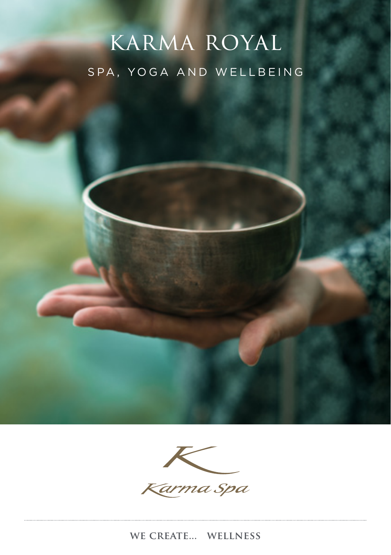# karma royal SPA, YOGA AND WELLBEING

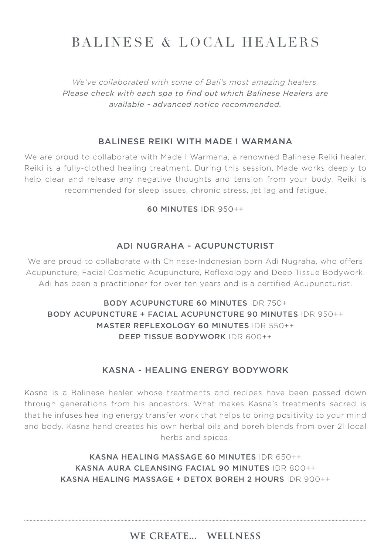# BALINESE & LOCAL HEALERS

*We've collaborated with some of Bali's most amazing healers. Please check with each spa to find out which Balinese Healers are available - advanced notice recommended.*

# BALINESE REIKI WITH MADE I WARMANA

We are proud to collaborate with Made I Warmana, a renowned Balinese Reiki healer. Reiki is a fully-clothed healing treatment. During this session, Made works deeply to help clear and release any negative thoughts and tension from your body. Reiki is recommended for sleep issues, chronic stress, jet lag and fatigue.

#### 60 MINUTES IDR 950++

#### ADI NUGRAHA - ACUPUNCTURIST

We are proud to collaborate with Chinese-Indonesian born Adi Nugraha, who offers Acupuncture, Facial Cosmetic Acupuncture, Reflexology and Deep Tissue Bodywork. Adi has been a practitioner for over ten years and is a certified Acupuncturist.

# BODY ACUPUNCTURE 60 MINUTES IDR 750+ BODY ACUPUNCTURE + FACIAL ACUPUNCTURE 90 MINUTES IDR 950++ MASTER REFLEXOLOGY 60 MINUTES IDR 550++ DEEP TISSUE BODYWORK IDR 600++

### KASNA - HEALING ENERGY BODYWORK

Kasna is a Balinese healer whose treatments and recipes have been passed down through generations from his ancestors. What makes Kasna's treatments sacred is that he infuses healing energy transfer work that helps to bring positivity to your mind and body. Kasna hand creates his own herbal oils and boreh blends from over 21 local herbs and spices.

> KASNA HEALING MASSAGE 60 MINUTES IDR 650++ KASNA AURA CLEANSING FACIAL 90 MINUTES IDR 800++ KASNA HEALING MASSAGE + DETOX BOREH 2 HOURS IDR 900++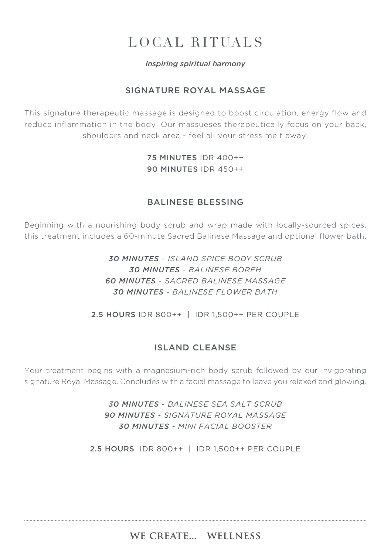# LOCAL RITUALS

#### *Inspiring spiritual harmony*

# SIGNATURE ROYAL MASSAGE

This signature therapeutic massage is designed to boost circulation, energy flow and reduce inflammation in the body. Our massueses therapeutically focus on your back, shoulders and neck area - feel all your stress melt away.

> 75 MINUTES IDR 400++ 90 MINUTES IDR 450++

#### BALINESE BLESSING

Beginning with a nourishing body scrub and wrap made with locally-sourced spices, this treatment includes a 60-minute Sacred Balinese Massage and optional flower bath.

> *30 MINUTES - ISLAND SPICE BODY SCRUB 30 MINUTES - BALINESE BOREH 60 MINUTES - SACRED BALINESE MASSAGE 30 MINUTES - BALINESE FLOWER BATH*

2.5 HOURS IDR 800++ | IDR 1,500++ PER COUPLE

### ISLAND CLEANSE

Your treatment begins with a magnesium-rich body scrub followed by our invigorating signature Royal Massage. Concludes with a facial massage to leave you relaxed and glowing.

> *30 MINUTES - BALINESE SEA SALT SCRUB 90 MINUTES - SIGNATURE ROYAL MASSAGE 30 MINUTES - MINI FACIAL BOOSTER*

2.5 HOURS IDR 800++ | IDR 1,500++ PER COUPLE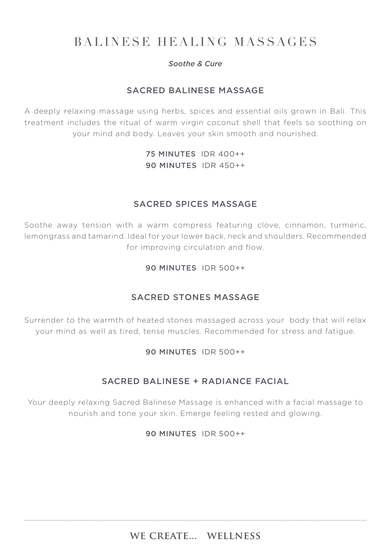# BALINESE HEALING MASSAGES

#### *Soothe & Cure*

# SACRED BALINESE MASSAGE

A deeply relaxing massage using herbs, spices and essential oils grown in Bali. This treatment includes the ritual of warm virgin coconut shell that feels so soothing on your mind and body. Leaves your skin smooth and nourished.

# 75 MINUTES IDR 400++ 90 MINUTES IDR 450++

# SACRED SPICES MASSAGE

Soothe away tension with a warm compress featuring clove, cinnamon, turmeric, lemongrass and tamarind. Ideal for your lower back, neck and shoulders. Recommended for improving circulation and flow.

#### 90 MINUTES IDR 500++

# SACRED STONES MASSAGE

Surrender to the warmth of heated stones massaged across your body that will relax your mind as well as tired, tense muscles. Recommended for stress and fatigue.

#### 90 MINUTES IDR 500++

### SACRED BALINESE + RADIANCE FACIAL

Your deeply relaxing Sacred Balinese Massage is enhanced with a facial massage to nourish and tone your skin. Emerge feeling rested and glowing.

#### 90 MINUTES IDR 500++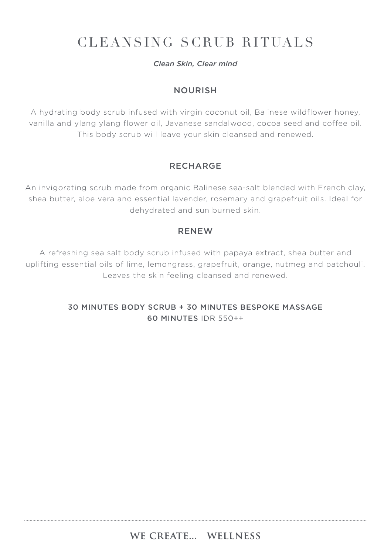# CLEANSING SCRUB RITUALS

#### *Clean Skin, Clear mind*

### NOURISH

A hydrating body scrub infused with virgin coconut oil, Balinese wildflower honey, vanilla and ylang ylang flower oil, Javanese sandalwood, cocoa seed and coffee oil. This body scrub will leave your skin cleansed and renewed.

# RECHARGE

An invigorating scrub made from organic Balinese sea-salt blended with French clay, shea butter, aloe vera and essential lavender, rosemary and grapefruit oils. Ideal for dehydrated and sun burned skin.

### RENEW

A refreshing sea salt body scrub infused with papaya extract, shea butter and uplifting essential oils of lime, lemongrass, grapefruit, orange, nutmeg and patchouli. Leaves the skin feeling cleansed and renewed.

# 30 MINUTES BODY SCRUB + 30 MINUTES BESPOKE MASSAGE 60 MINUTES IDR 550++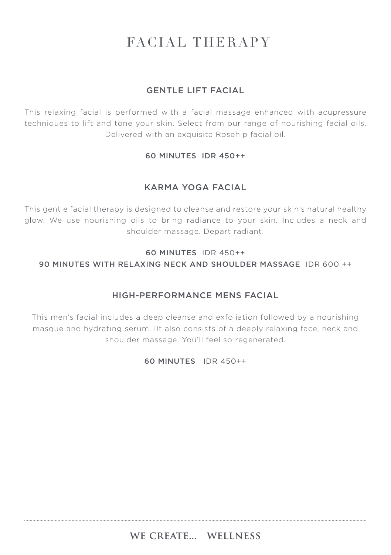# FACIAL THERAPY

# GENTLE LIFT FACIAL

This relaxing facial is performed with a facial massage enhanced with acupressure techniques to lift and tone your skin. Select from our range of nourishing facial oils. Delivered with an exquisite Rosehip facial oil.

#### 60 MINUTES IDR 450++

# KARMA YOGA FACIAL

This gentle facial therapy is designed to cleanse and restore your skin's natural healthy glow. We use nourishing oils to bring radiance to your skin. Includes a neck and shoulder massage. Depart radiant.

### 60 MINUTES IDR 450++ 90 MINUTES WITH RELAXING NECK AND SHOULDER MASSAGE IDR 600 ++

# HIGH-PERFORMANCE MENS FACIAL

This men's facial includes a deep cleanse and exfoliation followed by a nourishing masque and hydrating serum. IIt also consists of a deeply relaxing face, neck and shoulder massage. You'll feel so regenerated.

#### 60 MINUTES IDR 450++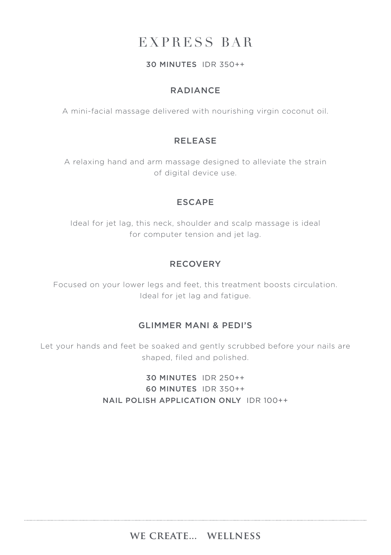# EXPRESS BAR

#### 30 MINUTES IDR 350++

# RADIANCE

A mini-facial massage delivered with nourishing virgin coconut oil.

# RELEASE

A relaxing hand and arm massage designed to alleviate the strain of digital device use.

#### ESCAPE

Ideal for jet lag, this neck, shoulder and scalp massage is ideal for computer tension and jet lag.

# RECOVERY

Focused on your lower legs and feet, this treatment boosts circulation. Ideal for jet lag and fatigue.

# GLIMMER MANI & PEDI'S

Let your hands and feet be soaked and gently scrubbed before your nails are shaped, filed and polished.

> 30 MINUTES IDR 250++ 60 MINUTES IDR 350++ NAIL POLISH APPLICATION ONLY IDR 100++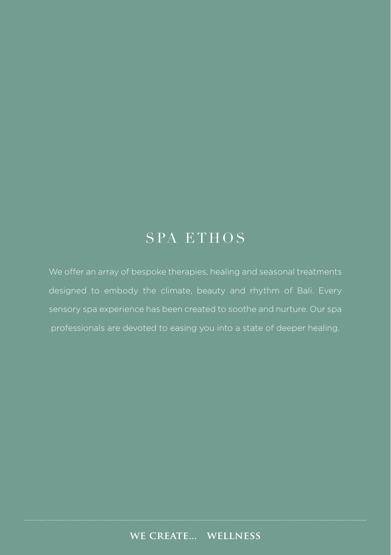# SPA ETHOS

We offer an array of bespoke therapies, healing and seasonal treatments designed to embody the climate, beauty and rhythm of Bali. Every professionals are devoted to easing you into a state of deeper healing.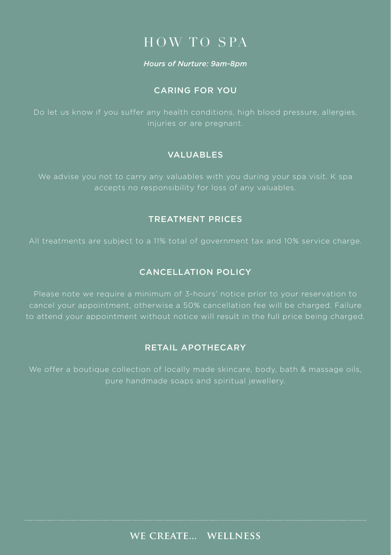# HOW TO SPA

#### *Hours of Nurture: 9am-8pm*

#### CARING FOR YOU

injuries or are pregnant.

### VALUABLES

accepts no responsibility for loss of any valuables.

#### TREATMENT PRICES

### CANCELLATION POLICY

Please note we require a minimum of 3-hours' notice prior to your reservation to cancel your appointment, otherwise a 50% cancellation fee will be charged. Failure to attend your appointment without notice will result in the full price being charged.

#### RETAIL APOTHECARY

We offer a boutique collection of locally made skincare, body, bath & massage oils, pure handmade soaps and spiritual jewellery.